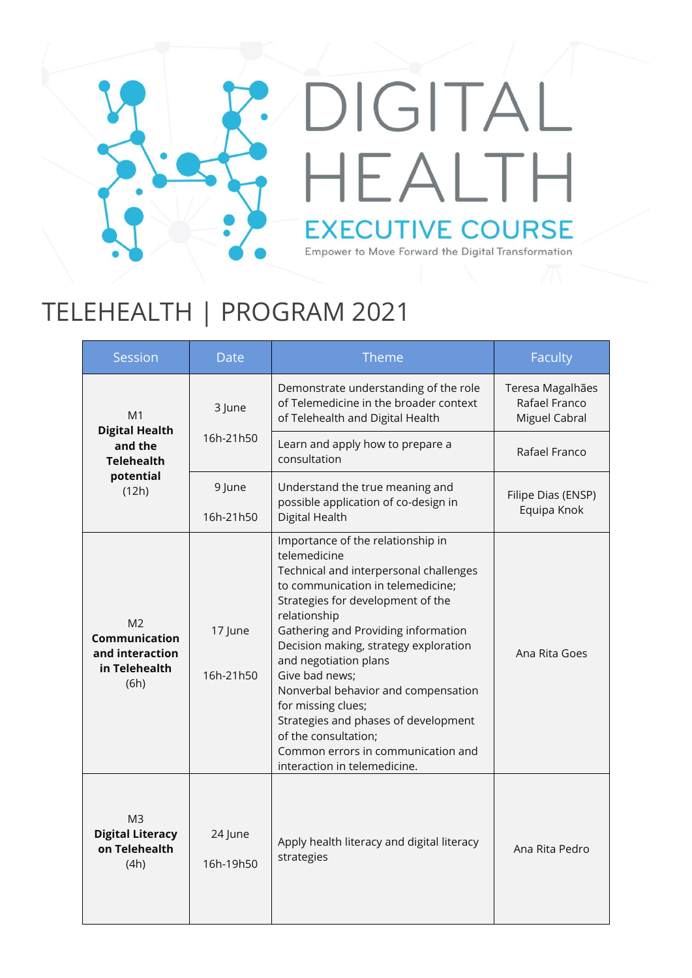## DIGITAL HEALTH **EXECUTIVE COURSE** Empower to Move Forward the Digital Transformation

## TELEHEALTH | PROGRAM 2021

| Session                                                                                       | <b>Date</b>          | Theme                                                                                                                                                                                                                                                                                                                                                                                                                                                                                                               | <b>Faculty</b>                                     |
|-----------------------------------------------------------------------------------------------|----------------------|---------------------------------------------------------------------------------------------------------------------------------------------------------------------------------------------------------------------------------------------------------------------------------------------------------------------------------------------------------------------------------------------------------------------------------------------------------------------------------------------------------------------|----------------------------------------------------|
| M <sub>1</sub><br><b>Digital Health</b><br>and the<br><b>Telehealth</b><br>potential<br>(12h) | 3 June               | Demonstrate understanding of the role<br>of Telemedicine in the broader context<br>of Telehealth and Digital Health                                                                                                                                                                                                                                                                                                                                                                                                 | Teresa Magalhães<br>Rafael Franco<br>Miguel Cabral |
|                                                                                               | 16h-21h50            | Learn and apply how to prepare a<br>consultation                                                                                                                                                                                                                                                                                                                                                                                                                                                                    | Rafael Franco                                      |
|                                                                                               | 9 June<br>16h-21h50  | Understand the true meaning and<br>possible application of co-design in<br>Digital Health                                                                                                                                                                                                                                                                                                                                                                                                                           | Filipe Dias (ENSP)<br>Equipa Knok                  |
| M <sub>2</sub><br>Communication<br>and interaction<br>in Telehealth<br>(6h)                   | 17 June<br>16h-21h50 | Importance of the relationship in<br>telemedicine<br>Technical and interpersonal challenges<br>to communication in telemedicine;<br>Strategies for development of the<br>relationship<br>Gathering and Providing information<br>Decision making, strategy exploration<br>and negotiation plans<br>Give bad news;<br>Nonverbal behavior and compensation<br>for missing clues;<br>Strategies and phases of development<br>of the consultation;<br>Common errors in communication and<br>interaction in telemedicine. | Ana Rita Goes                                      |
| M <sub>3</sub><br><b>Digital Literacy</b><br>on Telehealth<br>(4h)                            | 24 June<br>16h-19h50 | Apply health literacy and digital literacy<br>strategies                                                                                                                                                                                                                                                                                                                                                                                                                                                            | Ana Rita Pedro                                     |